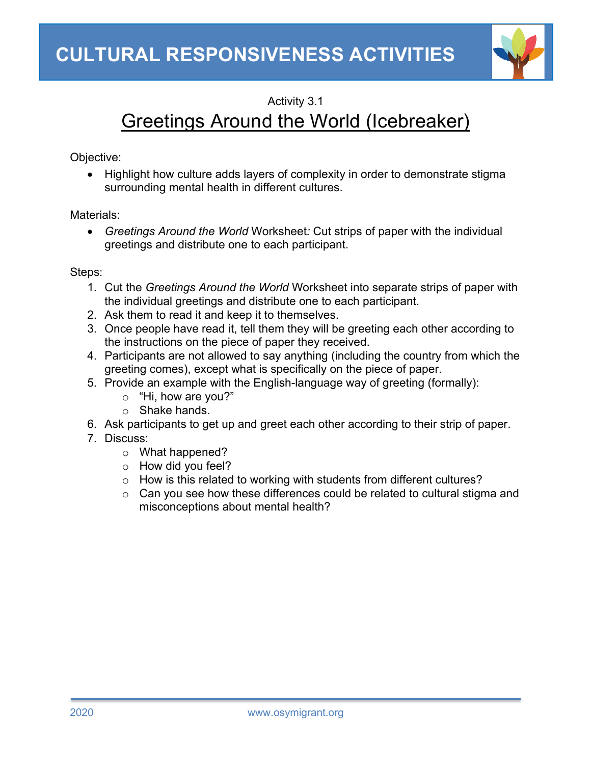

## Activity 3.1

## Greetings Around the World (Icebreaker)

Objective:

• Highlight how culture adds layers of complexity in order to demonstrate stigma surrounding mental health in different cultures.

Materials:

• *Greetings Around the World* Worksheet*:* Cut strips of paper with the individual greetings and distribute one to each participant.

## Steps:

- 1. Cut the *Greetings Around the World* Worksheet into separate strips of paper with the individual greetings and distribute one to each participant.
- 2. Ask them to read it and keep it to themselves.
- 3. Once people have read it, tell them they will be greeting each other according to the instructions on the piece of paper they received.
- 4. Participants are not allowed to say anything (including the country from which the greeting comes), except what is specifically on the piece of paper.
- 5. Provide an example with the English-language way of greeting (formally):
	- o "Hi, how are you?"
	- o Shake hands.
- 6. Ask participants to get up and greet each other according to their strip of paper.
- 7. Discuss:
	- o What happened?
	- o How did you feel?
	- o How is this related to working with students from different cultures?
	- o Can you see how these differences could be related to cultural stigma and misconceptions about mental health?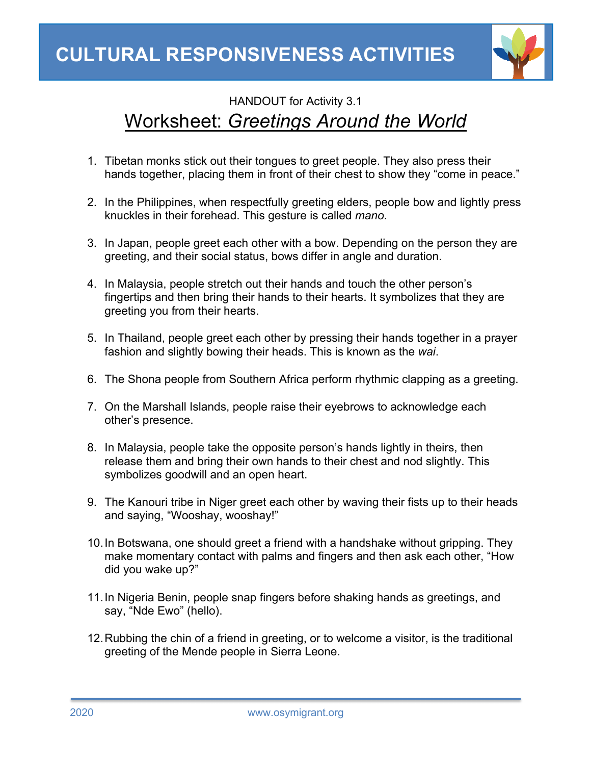

## HANDOUT for Activity 3.1 Worksheet: *Greetings Around the World*

- 1. Tibetan monks stick out their tongues to greet people. They also press their hands together, placing them in front of their chest to show they "come in peace."
- 2. In the Philippines, when respectfully greeting elders, people bow and lightly press knuckles in their forehead. This gesture is called *mano*.
- 3. In Japan, people greet each other with a bow. Depending on the person they are greeting, and their social status, bows differ in angle and duration.
- 4. In Malaysia, people stretch out their hands and touch the other person's fingertips and then bring their hands to their hearts. It symbolizes that they are greeting you from their hearts.
- 5. In Thailand, people greet each other by pressing their hands together in a prayer fashion and slightly bowing their heads. This is known as the *wai*.
- 6. The Shona people from Southern Africa perform rhythmic clapping as a greeting.
- 7. On the Marshall Islands, people raise their eyebrows to acknowledge each other's presence.
- 8. In Malaysia, people take the opposite person's hands lightly in theirs, then release them and bring their own hands to their chest and nod slightly. This symbolizes goodwill and an open heart.
- 9. The Kanouri tribe in Niger greet each other by waving their fists up to their heads and saying, "Wooshay, wooshay!"
- 10.In Botswana, one should greet a friend with a handshake without gripping. They make momentary contact with palms and fingers and then ask each other, "How did you wake up?"
- 11.In Nigeria Benin, people snap fingers before shaking hands as greetings, and say, "Nde Ewo" (hello).
- 12.Rubbing the chin of a friend in greeting, or to welcome a visitor, is the traditional greeting of the Mende people in Sierra Leone.